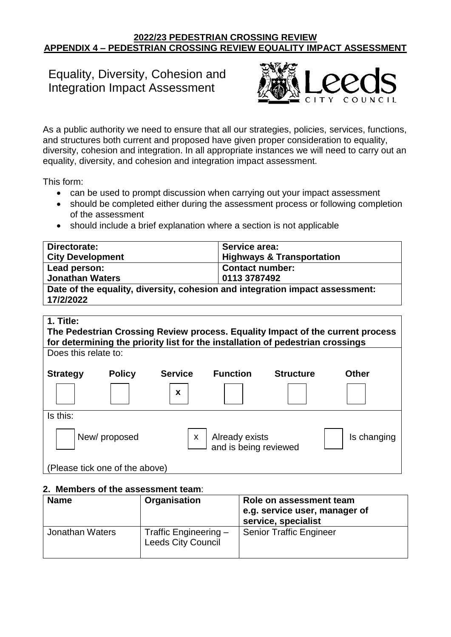#### **2022/23 PEDESTRIAN CROSSING REVIEW APPENDIX 4 – PEDESTRIAN CROSSING REVIEW EQUALITY IMPACT ASSESSMENT**

# Equality, Diversity, Cohesion and Integration Impact Assessment



As a public authority we need to ensure that all our strategies, policies, services, functions, and structures both current and proposed have given proper consideration to equality, diversity, cohesion and integration. In all appropriate instances we will need to carry out an equality, diversity, and cohesion and integration impact assessment.

This form:

- can be used to prompt discussion when carrying out your impact assessment
- should be completed either during the assessment process or following completion of the assessment
- should include a brief explanation where a section is not applicable

| Directorate:                                                                              | Service area:                        |  |
|-------------------------------------------------------------------------------------------|--------------------------------------|--|
| <b>City Development</b>                                                                   | <b>Highways &amp; Transportation</b> |  |
| Lead person:                                                                              | <b>Contact number:</b>               |  |
| <b>Jonathan Waters</b>                                                                    | 0113 3787492                         |  |
| Date of the equality, diversity, cohesion and integration impact assessment:<br>17/2/2022 |                                      |  |

# **1. Title: The Pedestrian Crossing Review process. Equality Impact of the current process for determining the priority list for the installation of pedestrian crossings** Does this relate to: **Strategy Policy Service Function Structure Other** Is this: New/proposed  $\vert x \vert$  Already exists  $\vert$  is changing and is being reviewed (Please tick one of the above) **x** x

#### **2. Members of the assessment team**:

| <b>Name</b>     | Organisation                                       | Role on assessment team<br>e.g. service user, manager of<br>service, specialist |
|-----------------|----------------------------------------------------|---------------------------------------------------------------------------------|
| Jonathan Waters | Traffic Engineering -<br><b>Leeds City Council</b> | <b>Senior Traffic Engineer</b>                                                  |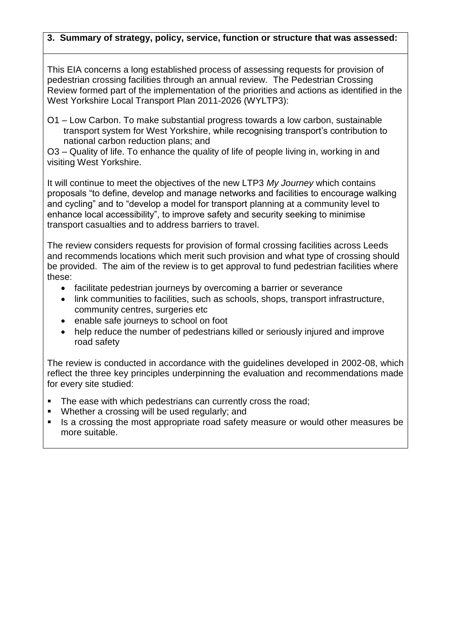## **3. Summary of strategy, policy, service, function or structure that was assessed:**

This EIA concerns a long established process of assessing requests for provision of pedestrian crossing facilities through an annual review. The Pedestrian Crossing Review formed part of the implementation of the priorities and actions as identified in the West Yorkshire Local Transport Plan 2011-2026 (WYLTP3):

O1 – Low Carbon. To make substantial progress towards a low carbon, sustainable transport system for West Yorkshire, while recognising transport's contribution to national carbon reduction plans; and

O3 – Quality of life. To enhance the quality of life of people living in, working in and visiting West Yorkshire.

It will continue to meet the objectives of the new LTP3 *My Journey* which contains proposals "to define, develop and manage networks and facilities to encourage walking and cycling" and to "develop a model for transport planning at a community level to enhance local accessibility", to improve safety and security seeking to minimise transport casualties and to address barriers to travel.

The review considers requests for provision of formal crossing facilities across Leeds and recommends locations which merit such provision and what type of crossing should be provided. The aim of the review is to get approval to fund pedestrian facilities where these:

- facilitate pedestrian journeys by overcoming a barrier or severance
- link communities to facilities, such as schools, shops, transport infrastructure, community centres, surgeries etc
- enable safe journeys to school on foot
- help reduce the number of pedestrians killed or seriously injured and improve road safety

The review is conducted in accordance with the guidelines developed in 2002-08, which reflect the three key principles underpinning the evaluation and recommendations made for every site studied:

- The ease with which pedestrians can currently cross the road;
- Whether a crossing will be used regularly; and
- Is a crossing the most appropriate road safety measure or would other measures be more suitable.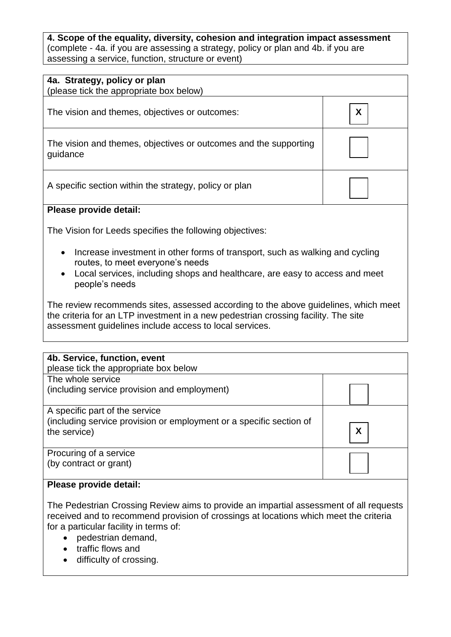**4. Scope of the equality, diversity, cohesion and integration impact assessment**  (complete - 4a. if you are assessing a strategy, policy or plan and 4b. if you are assessing a service, function, structure or event)

| 4a. Strategy, policy or plan<br>(please tick the appropriate box below)                                                                                                                                                              |  |  |  |  |  |
|--------------------------------------------------------------------------------------------------------------------------------------------------------------------------------------------------------------------------------------|--|--|--|--|--|
| X<br>The vision and themes, objectives or outcomes:                                                                                                                                                                                  |  |  |  |  |  |
| The vision and themes, objectives or outcomes and the supporting<br>guidance                                                                                                                                                         |  |  |  |  |  |
| A specific section within the strategy, policy or plan                                                                                                                                                                               |  |  |  |  |  |
| Please provide detail:                                                                                                                                                                                                               |  |  |  |  |  |
| The Vision for Leeds specifies the following objectives:                                                                                                                                                                             |  |  |  |  |  |
| Increase investment in other forms of transport, such as walking and cycling<br>$\bullet$<br>routes, to meet everyone's needs<br>Local services, including shops and healthcare, are easy to access and meet<br>people's needs       |  |  |  |  |  |
| The review recommends sites, assessed according to the above guidelines, which meet<br>the criteria for an LTP investment in a new pedestrian crossing facility. The site<br>assessment guidelines include access to local services. |  |  |  |  |  |

| 4b. Service, function, event<br>please tick the appropriate box below               |   |
|-------------------------------------------------------------------------------------|---|
| The whole service                                                                   |   |
| (including service provision and employment)                                        |   |
| A specific part of the service                                                      |   |
| (including service provision or employment or a specific section of<br>the service) | X |
| Procuring of a service                                                              |   |
| (by contract or grant)                                                              |   |
| Please provide detail:                                                              |   |

The Pedestrian Crossing Review aims to provide an impartial assessment of all requests received and to recommend provision of crossings at locations which meet the criteria for a particular facility in terms of:

- pedestrian demand,
- traffic flows and
- difficulty of crossing.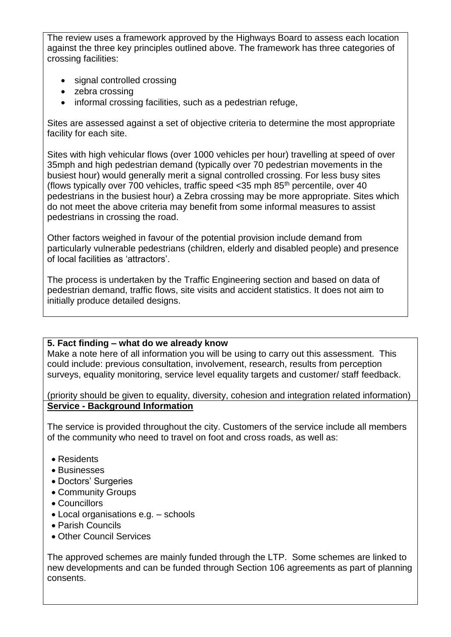The review uses a framework approved by the Highways Board to assess each location against the three key principles outlined above. The framework has three categories of crossing facilities:

- signal controlled crossing
- zebra crossing
- informal crossing facilities, such as a pedestrian refuge,

Sites are assessed against a set of objective criteria to determine the most appropriate facility for each site.

Sites with high vehicular flows (over 1000 vehicles per hour) travelling at speed of over 35mph and high pedestrian demand (typically over 70 pedestrian movements in the busiest hour) would generally merit a signal controlled crossing. For less busy sites (flows typically over 700 vehicles, traffic speed  $<$ 35 mph 85<sup>th</sup> percentile, over 40 pedestrians in the busiest hour) a Zebra crossing may be more appropriate. Sites which do not meet the above criteria may benefit from some informal measures to assist pedestrians in crossing the road.

Other factors weighed in favour of the potential provision include demand from particularly vulnerable pedestrians (children, elderly and disabled people) and presence of local facilities as 'attractors'.

The process is undertaken by the Traffic Engineering section and based on data of pedestrian demand, traffic flows, site visits and accident statistics. It does not aim to initially produce detailed designs.

#### **5. Fact finding – what do we already know**

Make a note here of all information you will be using to carry out this assessment. This could include: previous consultation, involvement, research, results from perception surveys, equality monitoring, service level equality targets and customer/ staff feedback.

(priority should be given to equality, diversity, cohesion and integration related information) **Service - Background Information**

The service is provided throughout the city. Customers of the service include all members of the community who need to travel on foot and cross roads, as well as:

- Residents
- Businesses
- Doctors' Surgeries
- Community Groups
- Councillors
- Local organisations e.g. schools
- Parish Councils
- Other Council Services

The approved schemes are mainly funded through the LTP. Some schemes are linked to new developments and can be funded through Section 106 agreements as part of planning consents.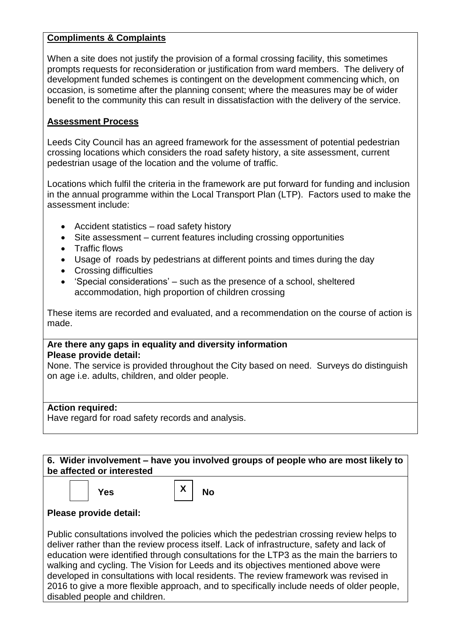## **Compliments & Complaints**

When a site does not justify the provision of a formal crossing facility, this sometimes prompts requests for reconsideration or justification from ward members. The delivery of development funded schemes is contingent on the development commencing which, on occasion, is sometime after the planning consent; where the measures may be of wider benefit to the community this can result in dissatisfaction with the delivery of the service.

## **Assessment Process**

Leeds City Council has an agreed framework for the assessment of potential pedestrian crossing locations which considers the road safety history, a site assessment, current pedestrian usage of the location and the volume of traffic.

Locations which fulfil the criteria in the framework are put forward for funding and inclusion in the annual programme within the Local Transport Plan (LTP). Factors used to make the assessment include:

- Accident statistics road safety history
- Site assessment current features including crossing opportunities
- Traffic flows
- Usage of roads by pedestrians at different points and times during the day
- Crossing difficulties
- 'Special considerations' such as the presence of a school, sheltered accommodation, high proportion of children crossing

These items are recorded and evaluated, and a recommendation on the course of action is made.

#### **Are there any gaps in equality and diversity information Please provide detail:**

None. The service is provided throughout the City based on need. Surveys do distinguish on age i.e. adults, children, and older people.

## **Action required:**

Have regard for road safety records and analysis.

**6. Wider involvement – have you involved groups of people who are most likely to be affected or interested** 

|--|--|

**1 P Yes**  $\begin{array}{|c|c|c|c|}\hline \textbf{Y} & \textbf{Y} & \textbf{N} \end{array}$ 

**X**

## **Please provide detail:**

Public consultations involved the policies which the pedestrian crossing review helps to deliver rather than the review process itself. Lack of infrastructure, safety and lack of education were identified through consultations for the LTP3 as the main the barriers to walking and cycling. The Vision for Leeds and its objectives mentioned above were developed in consultations with local residents. The review framework was revised in 2016 to give a more flexible approach, and to specifically include needs of older people, disabled people and children.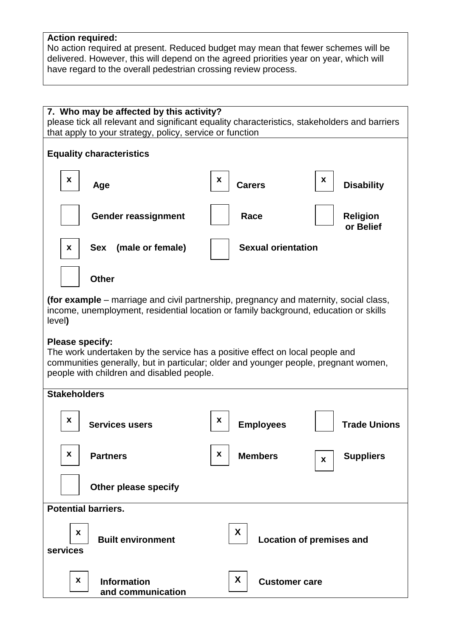## **Action required:**

No action required at present. Reduced budget may mean that fewer schemes will be delivered. However, this will depend on the agreed priorities year on year, which will have regard to the overall pedestrian crossing review process.

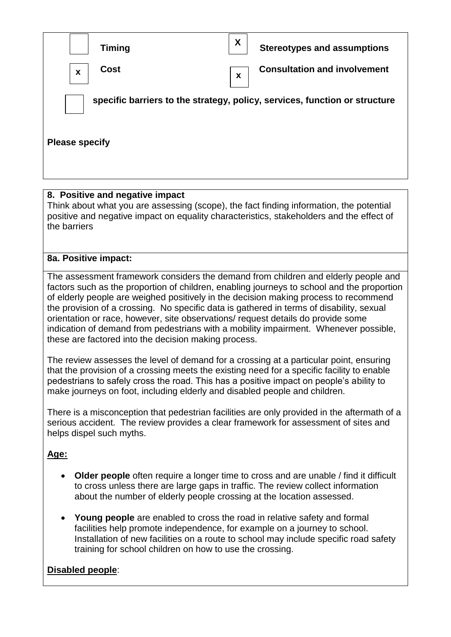| <b>Timing</b>                            | X<br><b>Stereotypes and assumptions</b>                                    |  |  |  |
|------------------------------------------|----------------------------------------------------------------------------|--|--|--|
| <b>Cost</b><br>$\boldsymbol{\mathsf{x}}$ | <b>Consultation and involvement</b><br>$\boldsymbol{\mathsf{x}}$           |  |  |  |
|                                          | specific barriers to the strategy, policy, services, function or structure |  |  |  |
| <b>Please specify</b>                    |                                                                            |  |  |  |

## **8. Positive and negative impact**

Think about what you are assessing (scope), the fact finding information, the potential positive and negative impact on equality characteristics, stakeholders and the effect of the barriers

## **8a. Positive impact:**

The assessment framework considers the demand from children and elderly people and factors such as the proportion of children, enabling journeys to school and the proportion of elderly people are weighed positively in the decision making process to recommend the provision of a crossing. No specific data is gathered in terms of disability, sexual orientation or race, however, site observations/ request details do provide some indication of demand from pedestrians with a mobility impairment. Whenever possible, these are factored into the decision making process.

The review assesses the level of demand for a crossing at a particular point, ensuring that the provision of a crossing meets the existing need for a specific facility to enable pedestrians to safely cross the road. This has a positive impact on people's ability to make journeys on foot, including elderly and disabled people and children.

There is a misconception that pedestrian facilities are only provided in the aftermath of a serious accident. The review provides a clear framework for assessment of sites and helps dispel such myths.

## **Age:**

- **Older people** often require a longer time to cross and are unable / find it difficult to cross unless there are large gaps in traffic. The review collect information about the number of elderly people crossing at the location assessed.
- **Young people** are enabled to cross the road in relative safety and formal facilities help promote independence, for example on a journey to school. Installation of new facilities on a route to school may include specific road safety training for school children on how to use the crossing.

# **Disabled people**: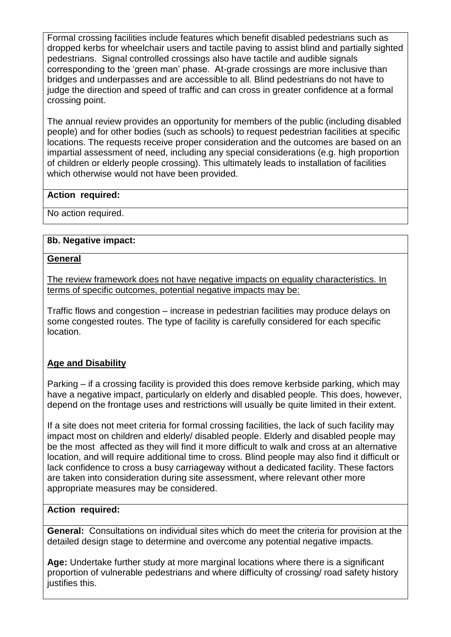Formal crossing facilities include features which benefit disabled pedestrians such as dropped kerbs for wheelchair users and tactile paving to assist blind and partially sighted pedestrians. Signal controlled crossings also have tactile and audible signals corresponding to the 'green man' phase. At-grade crossings are more inclusive than bridges and underpasses and are accessible to all. Blind pedestrians do not have to judge the direction and speed of traffic and can cross in greater confidence at a formal crossing point.

The annual review provides an opportunity for members of the public (including disabled people) and for other bodies (such as schools) to request pedestrian facilities at specific locations. The requests receive proper consideration and the outcomes are based on an impartial assessment of need, including any special considerations (e.g. high proportion of children or elderly people crossing). This ultimately leads to installation of facilities which otherwise would not have been provided.

### **Action required:**

No action required.

### **8b. Negative impact:**

#### **General**

The review framework does not have negative impacts on equality characteristics. In terms of specific outcomes, potential negative impacts may be:

Traffic flows and congestion – increase in pedestrian facilities may produce delays on some congested routes. The type of facility is carefully considered for each specific location.

## **Age and Disability**

Parking – if a crossing facility is provided this does remove kerbside parking, which may have a negative impact, particularly on elderly and disabled people. This does, however, depend on the frontage uses and restrictions will usually be quite limited in their extent.

If a site does not meet criteria for formal crossing facilities, the lack of such facility may impact most on children and elderly/ disabled people. Elderly and disabled people may be the most affected as they will find it more difficult to walk and cross at an alternative location, and will require additional time to cross. Blind people may also find it difficult or lack confidence to cross a busy carriageway without a dedicated facility. These factors are taken into consideration during site assessment, where relevant other more appropriate measures may be considered.

#### **Action required:**

**General:** Consultations on individual sites which do meet the criteria for provision at the detailed design stage to determine and overcome any potential negative impacts.

**Age:** Undertake further study at more marginal locations where there is a significant proportion of vulnerable pedestrians and where difficulty of crossing/ road safety history justifies this.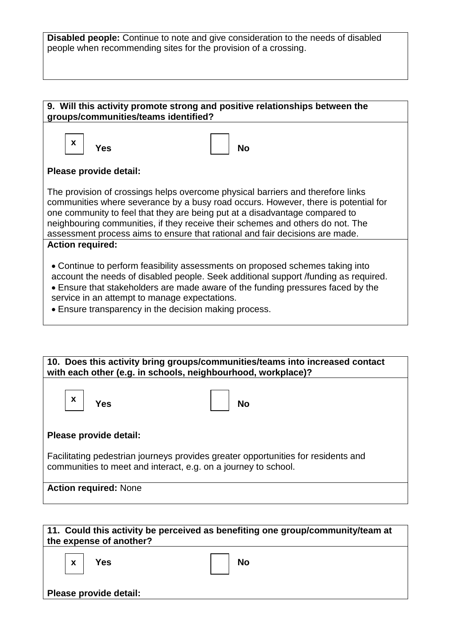**Disabled people:** Continue to note and give consideration to the needs of disabled people when recommending sites for the provision of a crossing.

| $\mathbf{x}$<br>Yes     |                                               |                                                                                                                                                                                                                                                                                                                                                                                                                        |
|-------------------------|-----------------------------------------------|------------------------------------------------------------------------------------------------------------------------------------------------------------------------------------------------------------------------------------------------------------------------------------------------------------------------------------------------------------------------------------------------------------------------|
|                         |                                               | <b>No</b>                                                                                                                                                                                                                                                                                                                                                                                                              |
| Please provide detail:  |                                               |                                                                                                                                                                                                                                                                                                                                                                                                                        |
|                         |                                               | The provision of crossings helps overcome physical barriers and therefore links<br>communities where severance by a busy road occurs. However, there is potential for<br>one community to feel that they are being put at a disadvantage compared to<br>neighbouring communities, if they receive their schemes and others do not. The<br>assessment process aims to ensure that rational and fair decisions are made. |
| <b>Action required:</b> |                                               |                                                                                                                                                                                                                                                                                                                                                                                                                        |
|                         | service in an attempt to manage expectations. | • Continue to perform feasibility assessments on proposed schemes taking into<br>account the needs of disabled people. Seek additional support /funding as required.<br>• Ensure that stakeholders are made aware of the funding pressures faced by the<br>• Ensure transparency in the decision making process.                                                                                                       |

| 10. Does this activity bring groups/communities/teams into increased contact<br>with each other (e.g. in schools, neighbourhood, workplace)?        |  |  |  |  |
|-----------------------------------------------------------------------------------------------------------------------------------------------------|--|--|--|--|
| $\boldsymbol{\mathsf{X}}$<br>Yes<br><b>No</b>                                                                                                       |  |  |  |  |
| Please provide detail:                                                                                                                              |  |  |  |  |
| Facilitating pedestrian journeys provides greater opportunities for residents and<br>communities to meet and interact, e.g. on a journey to school. |  |  |  |  |
| <b>Action required: None</b>                                                                                                                        |  |  |  |  |

|  | the expense of another? | 11. Could this activity be perceived as benefiting one group/community/team at |
|--|-------------------------|--------------------------------------------------------------------------------|
|  | $\vert x \vert$ Yes     | $\overline{\phantom{a}}$ No                                                    |

**Please provide detail:**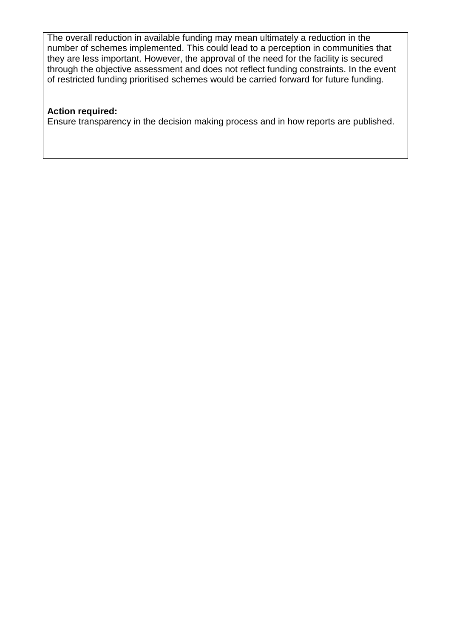The overall reduction in available funding may mean ultimately a reduction in the number of schemes implemented. This could lead to a perception in communities that they are less important. However, the approval of the need for the facility is secured through the objective assessment and does not reflect funding constraints. In the event of restricted funding prioritised schemes would be carried forward for future funding.

#### **Action required:**

Ensure transparency in the decision making process and in how reports are published.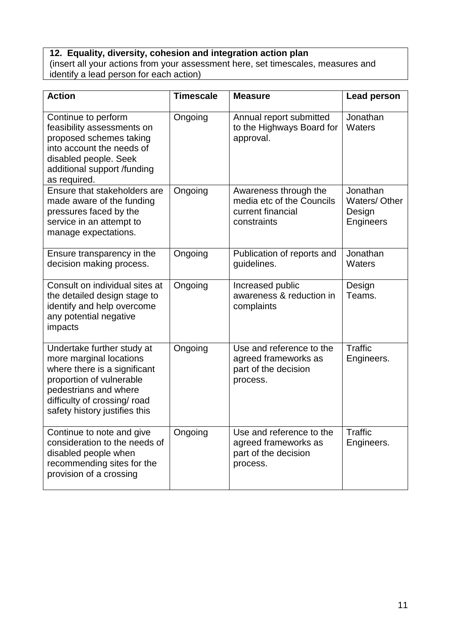### **12. Equality, diversity, cohesion and integration action plan**

(insert all your actions from your assessment here, set timescales, measures and identify a lead person for each action)

| <b>Action</b>                                                                                                                                                                                               | <b>Timescale</b> | <b>Measure</b>                                                                         | <b>Lead person</b>                              |
|-------------------------------------------------------------------------------------------------------------------------------------------------------------------------------------------------------------|------------------|----------------------------------------------------------------------------------------|-------------------------------------------------|
| Continue to perform<br>feasibility assessments on<br>proposed schemes taking<br>into account the needs of<br>disabled people. Seek<br>additional support /funding<br>as required.                           | Ongoing          | Annual report submitted<br>to the Highways Board for<br>approval.                      | Jonathan<br>Waters                              |
| Ensure that stakeholders are<br>made aware of the funding<br>pressures faced by the<br>service in an attempt to<br>manage expectations.                                                                     | Ongoing          | Awareness through the<br>media etc of the Councils<br>current financial<br>constraints | Jonathan<br>Waters/Other<br>Design<br>Engineers |
| Ensure transparency in the<br>decision making process.                                                                                                                                                      | Ongoing          | Publication of reports and<br>guidelines.                                              | Jonathan<br>Waters                              |
| Consult on individual sites at<br>the detailed design stage to<br>identify and help overcome<br>any potential negative<br>impacts                                                                           | Ongoing          | Increased public<br>awareness & reduction in<br>complaints                             | Design<br>Teams.                                |
| Undertake further study at<br>more marginal locations<br>where there is a significant<br>proportion of vulnerable<br>pedestrians and where<br>difficulty of crossing/ road<br>safety history justifies this | Ongoing          | Use and reference to the<br>agreed frameworks as<br>part of the decision<br>process.   | <b>Traffic</b><br>Engineers.                    |
| Continue to note and give<br>consideration to the needs of<br>disabled people when<br>recommending sites for the<br>provision of a crossing                                                                 | Ongoing          | Use and reference to the<br>agreed frameworks as<br>part of the decision<br>process.   | Traffic<br>Engineers.                           |